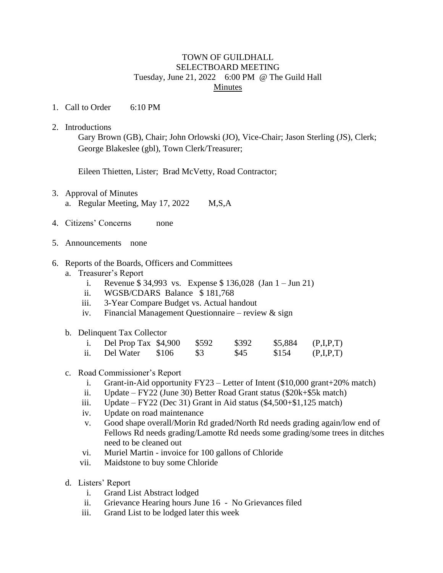## TOWN OF GUILDHALL SELECTBOARD MEETING Tuesday, June 21, 2022 6:00 PM @ The Guild Hall Minutes

- 1. Call to Order 6:10 PM
- 2. Introductions

Eileen Thietten, Lister; Brad McVetty, Road Contractor;

- 3. Approval of Minutes
	- a. Regular Meeting, May 17, 2022 M,S,A
- 4. Citizens' Concerns none
- 5. Announcements none
- 6. Reports of the Boards, Officers and Committees
	- a. Treasurer's Report
		- i. Revenue \$ 34,993 vs. Expense \$ 136,028 (Jan 1 Jun 21)
		- ii. WGSB/CDARS Balance \$ 181,768
		- iii. 3-Year Compare Budget vs. Actual handout
		- iv. Financial Management Questionnaire review  $\&$  sign
	- b. Delinquent Tax Collector

| Del Prop Tax \$4,900 |       | \$592 | \$392 | \$5,884 | (P,I,P,T) |
|----------------------|-------|-------|-------|---------|-----------|
| Del Water            | \$106 | \$3   | \$45  | \$154   | (P,I,P,T) |

## c. Road Commissioner's Report

- i. Grant-in-Aid opportunity FY23 Letter of Intent (\$10,000 grant+20% match)
- ii. Update FY22 (June 30) Better Road Grant status (\$20k+\$5k match)
- iii. Update FY22 (Dec 31) Grant in Aid status  $(\$4,500+\$1,125$  match)
- iv. Update on road maintenance
- v. Good shape overall/Morin Rd graded/North Rd needs grading again/low end of Fellows Rd needs grading/Lamotte Rd needs some grading/some trees in ditches need to be cleaned out
- vi. Muriel Martin invoice for 100 gallons of Chloride
- vii. Maidstone to buy some Chloride
- d. Listers' Report
	- i. Grand List Abstract lodged
	- ii. Grievance Hearing hours June 16 No Grievances filed
	- iii. Grand List to be lodged later this week

Gary Brown (GB), Chair; John Orlowski (JO), Vice-Chair; Jason Sterling (JS), Clerk; George Blakeslee (gbl), Town Clerk/Treasurer;